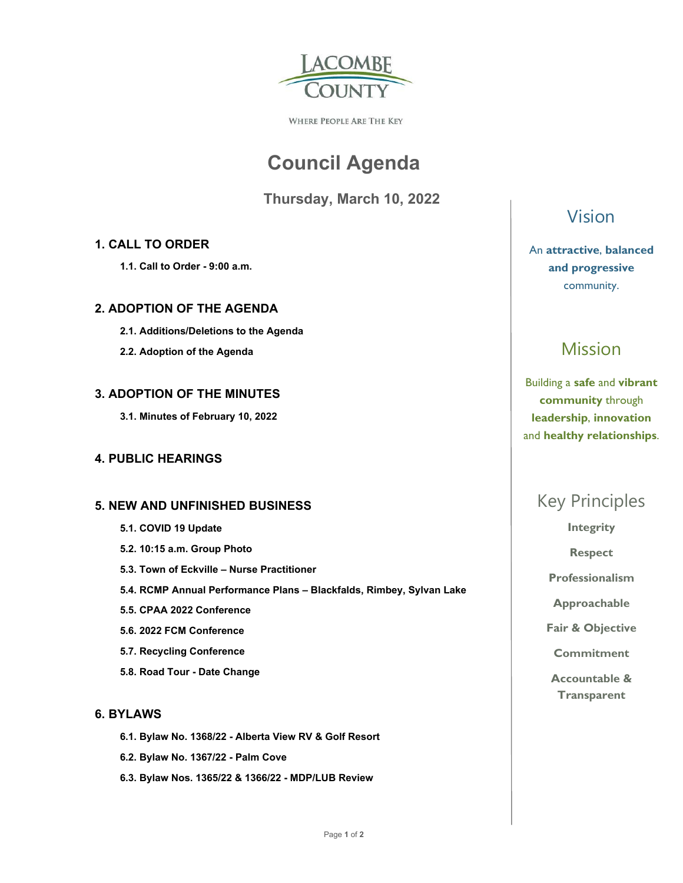

WHERE PEOPLE ARE THE KEY

# **Council Agenda**

 **Thursday, March 10, 2022** 

### **1. CALL TO ORDER**

 **1.1. Call to Order - 9:00 a.m.** 

### **2. ADOPTION OF THE AGENDA**

- **2.1. Additions/Deletions to the Agenda**
- **2.2. Adoption of the Agenda**

### **3. ADOPTION OF THE MINUTES**

 **3.1. Minutes of February 10, 2022** 

### **4. PUBLIC HEARINGS**

### **5. NEW AND UNFINISHED BUSINESS**

- **5.1. COVID 19 Update**
- **5.2. 10:15 a.m. Group Photo**
- **5.3. Town of Eckville Nurse Practitioner**
- **5.4. RCMP Annual Performance Plans Blackfalds, Rimbey, Sylvan Lake**
- **5.5. CPAA 2022 Conference**
- **5.6. 2022 FCM Conference**
- **5.7. Recycling Conference**
- **5.8. Road Tour Date Change**

### **6. BYLAWS**

- **6.1. Bylaw No. 1368/22 Alberta View RV & Golf Resort**
- **6.2. Bylaw No. 1367/22 Palm Cove**
- **6.3. Bylaw Nos. 1365/22 & 1366/22 MDP/LUB Review**

### Vision

### An **attractive**, **balanced and progressive**  community.

## Mission

Building a **safe** and **vibrant community** through **leadership**, **innovation**  and **healthy relationships**.

## Key Principles

**Integrity** 

**Respect** 

**Professionalism** 

**Approachable** 

**Fair & Objective** 

**Commitment** 

**Accountable & Transparent**